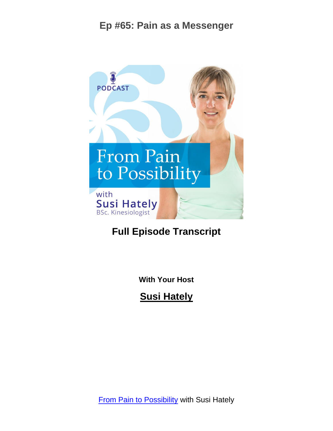

# **Full Episode Transcript**

**With Your Host**

**Susi Hately**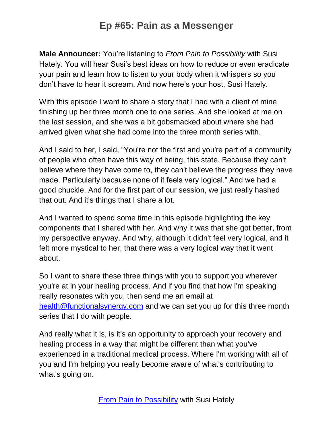**Male Announcer:** You're listening to *From Pain to Possibility* with Susi Hately. You will hear Susi's best ideas on how to reduce or even eradicate your pain and learn how to listen to your body when it whispers so you don't have to hear it scream. And now here's your host, Susi Hately.

With this episode I want to share a story that I had with a client of mine finishing up her three month one to one series. And she looked at me on the last session, and she was a bit gobsmacked about where she had arrived given what she had come into the three month series with.

And I said to her, I said, "You're not the first and you're part of a community of people who often have this way of being, this state. Because they can't believe where they have come to, they can't believe the progress they have made. Particularly because none of it feels very logical." And we had a good chuckle. And for the first part of our session, we just really hashed that out. And it's things that I share a lot.

And I wanted to spend some time in this episode highlighting the key components that I shared with her. And why it was that she got better, from my perspective anyway. And why, although it didn't feel very logical, and it felt more mystical to her, that there was a very logical way that it went about.

So I want to share these three things with you to support you wherever you're at in your healing process. And if you find that how I'm speaking really resonates with you, then send me an email at [health@functionalsynergy.com](mailto:health@functionalsynergy.com) and we can set you up for this three month series that I do with people.

And really what it is, is it's an opportunity to approach your recovery and healing process in a way that might be different than what you've experienced in a traditional medical process. Where I'm working with all of you and I'm helping you really become aware of what's contributing to what's going on.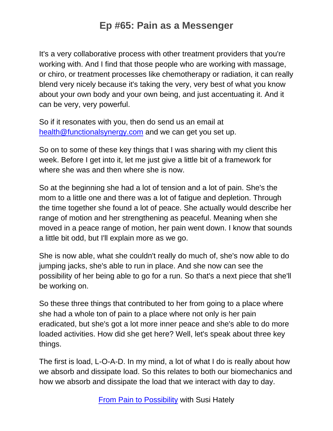It's a very collaborative process with other treatment providers that you're working with. And I find that those people who are working with massage, or chiro, or treatment processes like chemotherapy or radiation, it can really blend very nicely because it's taking the very, very best of what you know about your own body and your own being, and just accentuating it. And it can be very, very powerful.

So if it resonates with you, then do send us an email at [health@functionalsynergy.com](mailto:health@functionalsynergy.com) and we can get you set up.

So on to some of these key things that I was sharing with my client this week. Before I get into it, let me just give a little bit of a framework for where she was and then where she is now.

So at the beginning she had a lot of tension and a lot of pain. She's the mom to a little one and there was a lot of fatigue and depletion. Through the time together she found a lot of peace. She actually would describe her range of motion and her strengthening as peaceful. Meaning when she moved in a peace range of motion, her pain went down. I know that sounds a little bit odd, but I'll explain more as we go.

She is now able, what she couldn't really do much of, she's now able to do jumping jacks, she's able to run in place. And she now can see the possibility of her being able to go for a run. So that's a next piece that she'll be working on.

So these three things that contributed to her from going to a place where she had a whole ton of pain to a place where not only is her pain eradicated, but she's got a lot more inner peace and she's able to do more loaded activities. How did she get here? Well, let's speak about three key things.

The first is load, L-O-A-D. In my mind, a lot of what I do is really about how we absorb and dissipate load. So this relates to both our biomechanics and how we absorb and dissipate the load that we interact with day to day.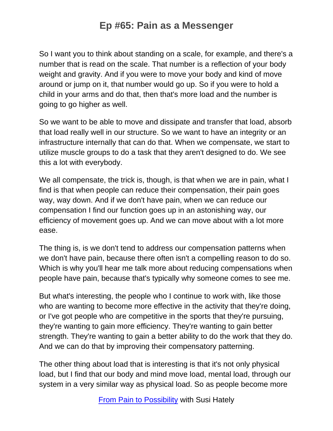So I want you to think about standing on a scale, for example, and there's a number that is read on the scale. That number is a reflection of your body weight and gravity. And if you were to move your body and kind of move around or jump on it, that number would go up. So if you were to hold a child in your arms and do that, then that's more load and the number is going to go higher as well.

So we want to be able to move and dissipate and transfer that load, absorb that load really well in our structure. So we want to have an integrity or an infrastructure internally that can do that. When we compensate, we start to utilize muscle groups to do a task that they aren't designed to do. We see this a lot with everybody.

We all compensate, the trick is, though, is that when we are in pain, what I find is that when people can reduce their compensation, their pain goes way, way down. And if we don't have pain, when we can reduce our compensation I find our function goes up in an astonishing way, our efficiency of movement goes up. And we can move about with a lot more ease.

The thing is, is we don't tend to address our compensation patterns when we don't have pain, because there often isn't a compelling reason to do so. Which is why you'll hear me talk more about reducing compensations when people have pain, because that's typically why someone comes to see me.

But what's interesting, the people who I continue to work with, like those who are wanting to become more effective in the activity that they're doing, or I've got people who are competitive in the sports that they're pursuing, they're wanting to gain more efficiency. They're wanting to gain better strength. They're wanting to gain a better ability to do the work that they do. And we can do that by improving their compensatory patterning.

The other thing about load that is interesting is that it's not only physical load, but I find that our body and mind move load, mental load, through our system in a very similar way as physical load. So as people become more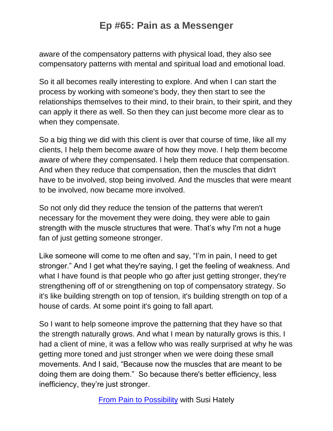aware of the compensatory patterns with physical load, they also see compensatory patterns with mental and spiritual load and emotional load.

So it all becomes really interesting to explore. And when I can start the process by working with someone's body, they then start to see the relationships themselves to their mind, to their brain, to their spirit, and they can apply it there as well. So then they can just become more clear as to when they compensate.

So a big thing we did with this client is over that course of time, like all my clients, I help them become aware of how they move. I help them become aware of where they compensated. I help them reduce that compensation. And when they reduce that compensation, then the muscles that didn't have to be involved, stop being involved. And the muscles that were meant to be involved, now became more involved.

So not only did they reduce the tension of the patterns that weren't necessary for the movement they were doing, they were able to gain strength with the muscle structures that were. That's why I'm not a huge fan of just getting someone stronger.

Like someone will come to me often and say, "I'm in pain, I need to get stronger." And I get what they're saying, I get the feeling of weakness. And what I have found is that people who go after just getting stronger, they're strengthening off of or strengthening on top of compensatory strategy. So it's like building strength on top of tension, it's building strength on top of a house of cards. At some point it's going to fall apart.

So I want to help someone improve the patterning that they have so that the strength naturally grows. And what I mean by naturally grows is this, I had a client of mine, it was a fellow who was really surprised at why he was getting more toned and just stronger when we were doing these small movements. And I said, "Because now the muscles that are meant to be doing them are doing them." So because there's better efficiency, less inefficiency, they're just stronger.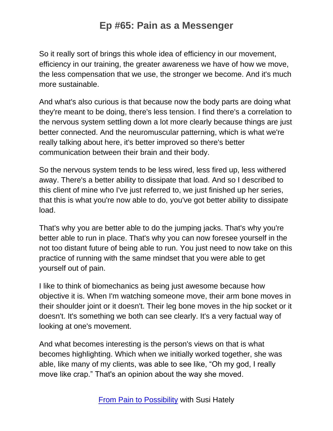So it really sort of brings this whole idea of efficiency in our movement, efficiency in our training, the greater awareness we have of how we move, the less compensation that we use, the stronger we become. And it's much more sustainable.

And what's also curious is that because now the body parts are doing what they're meant to be doing, there's less tension. I find there's a correlation to the nervous system settling down a lot more clearly because things are just better connected. And the neuromuscular patterning, which is what we're really talking about here, it's better improved so there's better communication between their brain and their body.

So the nervous system tends to be less wired, less fired up, less withered away. There's a better ability to dissipate that load. And so I described to this client of mine who I've just referred to, we just finished up her series, that this is what you're now able to do, you've got better ability to dissipate load.

That's why you are better able to do the jumping jacks. That's why you're better able to run in place. That's why you can now foresee yourself in the not too distant future of being able to run. You just need to now take on this practice of running with the same mindset that you were able to get yourself out of pain.

I like to think of biomechanics as being just awesome because how objective it is. When I'm watching someone move, their arm bone moves in their shoulder joint or it doesn't. Their leg bone moves in the hip socket or it doesn't. It's something we both can see clearly. It's a very factual way of looking at one's movement.

And what becomes interesting is the person's views on that is what becomes highlighting. Which when we initially worked together, she was able, like many of my clients, was able to see like, "Oh my god, I really move like crap." That's an opinion about the way she moved.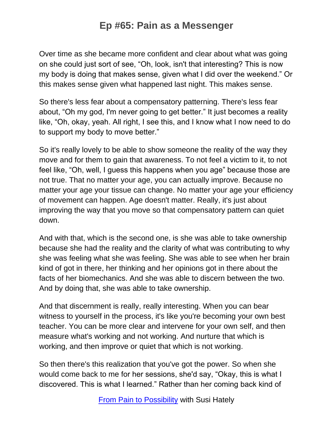Over time as she became more confident and clear about what was going on she could just sort of see, "Oh, look, isn't that interesting? This is now my body is doing that makes sense, given what I did over the weekend." Or this makes sense given what happened last night. This makes sense.

So there's less fear about a compensatory patterning. There's less fear about, "Oh my god, I'm never going to get better." It just becomes a reality like, "Oh, okay, yeah. All right, I see this, and I know what I now need to do to support my body to move better."

So it's really lovely to be able to show someone the reality of the way they move and for them to gain that awareness. To not feel a victim to it, to not feel like, "Oh, well, I guess this happens when you age" because those are not true. That no matter your age, you can actually improve. Because no matter your age your tissue can change. No matter your age your efficiency of movement can happen. Age doesn't matter. Really, it's just about improving the way that you move so that compensatory pattern can quiet down.

And with that, which is the second one, is she was able to take ownership because she had the reality and the clarity of what was contributing to why she was feeling what she was feeling. She was able to see when her brain kind of got in there, her thinking and her opinions got in there about the facts of her biomechanics. And she was able to discern between the two. And by doing that, she was able to take ownership.

And that discernment is really, really interesting. When you can bear witness to yourself in the process, it's like you're becoming your own best teacher. You can be more clear and intervene for your own self, and then measure what's working and not working. And nurture that which is working, and then improve or quiet that which is not working.

So then there's this realization that you've got the power. So when she would come back to me for her sessions, she'd say, "Okay, this is what I discovered. This is what I learned." Rather than her coming back kind of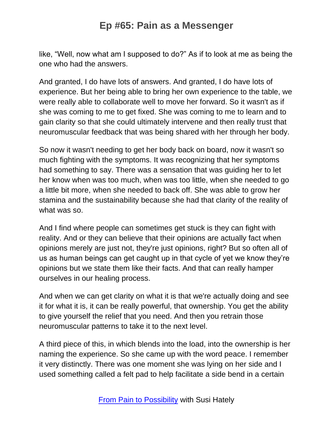like, "Well, now what am I supposed to do?" As if to look at me as being the one who had the answers.

And granted, I do have lots of answers. And granted, I do have lots of experience. But her being able to bring her own experience to the table, we were really able to collaborate well to move her forward. So it wasn't as if she was coming to me to get fixed. She was coming to me to learn and to gain clarity so that she could ultimately intervene and then really trust that neuromuscular feedback that was being shared with her through her body.

So now it wasn't needing to get her body back on board, now it wasn't so much fighting with the symptoms. It was recognizing that her symptoms had something to say. There was a sensation that was guiding her to let her know when was too much, when was too little, when she needed to go a little bit more, when she needed to back off. She was able to grow her stamina and the sustainability because she had that clarity of the reality of what was so.

And I find where people can sometimes get stuck is they can fight with reality. And or they can believe that their opinions are actually fact when opinions merely are just not, they're just opinions, right? But so often all of us as human beings can get caught up in that cycle of yet we know they're opinions but we state them like their facts. And that can really hamper ourselves in our healing process.

And when we can get clarity on what it is that we're actually doing and see it for what it is, it can be really powerful, that ownership. You get the ability to give yourself the relief that you need. And then you retrain those neuromuscular patterns to take it to the next level.

A third piece of this, in which blends into the load, into the ownership is her naming the experience. So she came up with the word peace. I remember it very distinctly. There was one moment she was lying on her side and I used something called a felt pad to help facilitate a side bend in a certain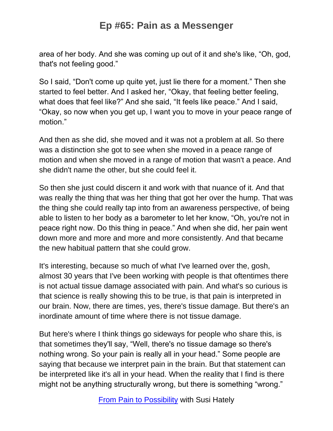area of her body. And she was coming up out of it and she's like, "Oh, god, that's not feeling good."

So I said, "Don't come up quite yet, just lie there for a moment." Then she started to feel better. And I asked her, "Okay, that feeling better feeling, what does that feel like?" And she said, "It feels like peace." And I said, "Okay, so now when you get up, I want you to move in your peace range of motion."

And then as she did, she moved and it was not a problem at all. So there was a distinction she got to see when she moved in a peace range of motion and when she moved in a range of motion that wasn't a peace. And she didn't name the other, but she could feel it.

So then she just could discern it and work with that nuance of it. And that was really the thing that was her thing that got her over the hump. That was the thing she could really tap into from an awareness perspective, of being able to listen to her body as a barometer to let her know, "Oh, you're not in peace right now. Do this thing in peace." And when she did, her pain went down more and more and more and more consistently. And that became the new habitual pattern that she could grow.

It's interesting, because so much of what I've learned over the, gosh, almost 30 years that I've been working with people is that oftentimes there is not actual tissue damage associated with pain. And what's so curious is that science is really showing this to be true, is that pain is interpreted in our brain. Now, there are times, yes, there's tissue damage. But there's an inordinate amount of time where there is not tissue damage.

But here's where I think things go sideways for people who share this, is that sometimes they'll say, "Well, there's no tissue damage so there's nothing wrong. So your pain is really all in your head." Some people are saying that because we interpret pain in the brain. But that statement can be interpreted like it's all in your head. When the reality that I find is there might not be anything structurally wrong, but there is something "wrong."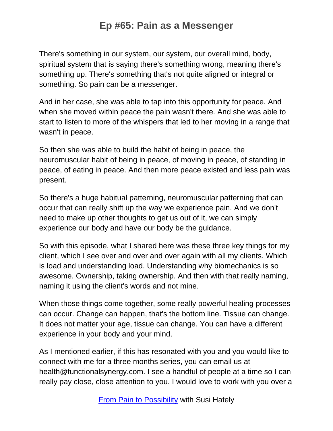There's something in our system, our system, our overall mind, body, spiritual system that is saying there's something wrong, meaning there's something up. There's something that's not quite aligned or integral or something. So pain can be a messenger.

And in her case, she was able to tap into this opportunity for peace. And when she moved within peace the pain wasn't there. And she was able to start to listen to more of the whispers that led to her moving in a range that wasn't in peace.

So then she was able to build the habit of being in peace, the neuromuscular habit of being in peace, of moving in peace, of standing in peace, of eating in peace. And then more peace existed and less pain was present.

So there's a huge habitual patterning, neuromuscular patterning that can occur that can really shift up the way we experience pain. And we don't need to make up other thoughts to get us out of it, we can simply experience our body and have our body be the guidance.

So with this episode, what I shared here was these three key things for my client, which I see over and over and over again with all my clients. Which is load and understanding load. Understanding why biomechanics is so awesome. Ownership, taking ownership. And then with that really naming, naming it using the client's words and not mine.

When those things come together, some really powerful healing processes can occur. Change can happen, that's the bottom line. Tissue can change. It does not matter your age, tissue can change. You can have a different experience in your body and your mind.

As I mentioned earlier, if this has resonated with you and you would like to connect with me for a three months series, you can email us at health@functionalsynergy.com. I see a handful of people at a time so I can really pay close, close attention to you. I would love to work with you over a